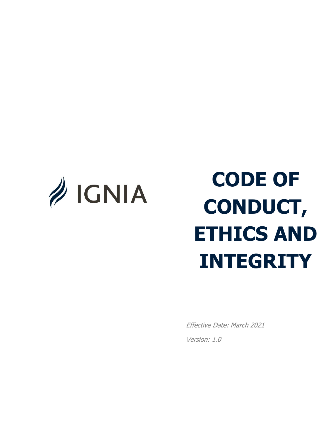<span id="page-0-0"></span>

# **CODE OF CONDUCT, ETHICS AND INTEGRITY**

Effective Date: March 2021 Version: 1.0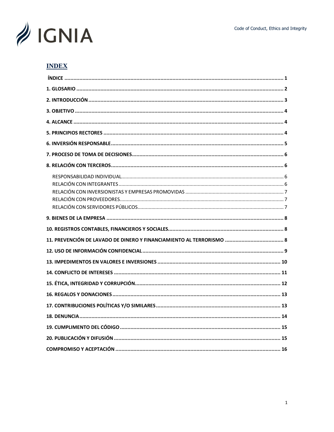

## **INDEX**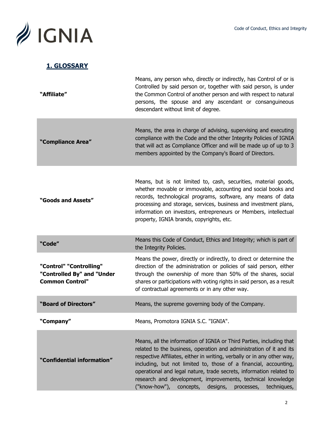

## **1. GLOSSARY**

| "Affiliate"                                                                     | Means, any person who, directly or indirectly, has Control of or is<br>Controlled by said person or, together with said person, is under<br>the Common Control of another person and with respect to natural<br>persons, the spouse and any ascendant or consanguineous<br>descendant without limit of degree.                                                                                                                                                                                          |  |
|---------------------------------------------------------------------------------|---------------------------------------------------------------------------------------------------------------------------------------------------------------------------------------------------------------------------------------------------------------------------------------------------------------------------------------------------------------------------------------------------------------------------------------------------------------------------------------------------------|--|
| "Compliance Area"                                                               | Means, the area in charge of advising, supervising and executing<br>compliance with the Code and the other Integrity Policies of IGNIA<br>that will act as Compliance Officer and will be made up of up to 3<br>members appointed by the Company's Board of Directors.                                                                                                                                                                                                                                  |  |
| "Goods and Assets"                                                              | Means, but is not limited to, cash, securities, material goods,<br>whether movable or immovable, accounting and social books and<br>records, technological programs, software, any means of data<br>processing and storage, services, business and investment plans,<br>information on investors, entrepreneurs or Members, intellectual<br>property, IGNIA brands, copyrights, etc.                                                                                                                    |  |
| "Code"                                                                          | Means this Code of Conduct, Ethics and Integrity; which is part of<br>the Integrity Policies.                                                                                                                                                                                                                                                                                                                                                                                                           |  |
| "Control" "Controlling"<br>"Controlled By" and "Under<br><b>Common Control"</b> | Means the power, directly or indirectly, to direct or determine the<br>direction of the administration or policies of said person, either<br>through the ownership of more than 50% of the shares, social<br>shares or participations with voting rights in said person, as a result<br>of contractual agreements or in any other way.                                                                                                                                                                  |  |
| "Board of Directors"                                                            | Means, the supreme governing body of the Company.                                                                                                                                                                                                                                                                                                                                                                                                                                                       |  |
| Company"                                                                        | Means, Promotora IGNIA S.C. "IGNIA".                                                                                                                                                                                                                                                                                                                                                                                                                                                                    |  |
| "Confidential information"                                                      | Means, all the information of IGNIA or Third Parties, including that<br>related to the business, operation and administration of it and its<br>respective Affiliates, either in writing, verbally or in any other way,<br>including, but not limited to, those of a financial, accounting,<br>operational and legal nature, trade secrets, information related to<br>research and development, improvements, technical knowledge<br>("know-how"),<br>concepts,<br>designs,<br>techniques,<br>processes, |  |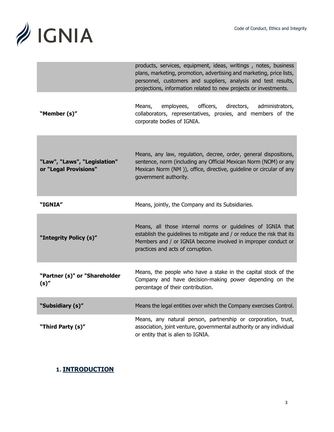

|                                                       | products, services, equipment, ideas, writings, notes, business<br>plans, marketing, promotion, advertising and marketing, price lists,<br>personnel, customers and suppliers, analysis and test results,<br>projections, information related to new projects or investments. |
|-------------------------------------------------------|-------------------------------------------------------------------------------------------------------------------------------------------------------------------------------------------------------------------------------------------------------------------------------|
| "Member (s)"                                          | employees, officers,<br>directors,<br>Means,<br>administrators,<br>collaborators, representatives, proxies, and members of the<br>corporate bodies of IGNIA.                                                                                                                  |
| "Law", "Laws", "Legislation"<br>or "Legal Provisions" | Means, any law, regulation, decree, order, general dispositions,<br>sentence, norm (including any Official Mexican Norm (NOM) or any<br>Mexican Norm (NM)), office, directive, guideline or circular of any<br>government authority.                                          |
| "IGNIA"                                               | Means, jointly, the Company and its Subsidiaries.                                                                                                                                                                                                                             |
| "Integrity Policy (s)"                                | Means, all those internal norms or guidelines of IGNIA that<br>establish the guidelines to mitigate and / or reduce the risk that its<br>Members and / or IGNIA become involved in improper conduct or<br>practices and acts of corruption.                                   |
| "Partner (s)" or "Shareholder<br>$(s)$ "              | Means, the people who have a stake in the capital stock of the<br>Company and have decision-making power depending on the<br>percentage of their contribution.                                                                                                                |
| "Subsidiary (s)"                                      | Means the legal entities over which the Company exercises Control.                                                                                                                                                                                                            |
| "Third Party (s)"                                     | Means, any natural person, partnership or corporation, trust,<br>association, joint venture, governmental authority or any individual<br>or entity that is alien to IGNIA.                                                                                                    |

## <span id="page-3-0"></span>**1. INTRODUCTION**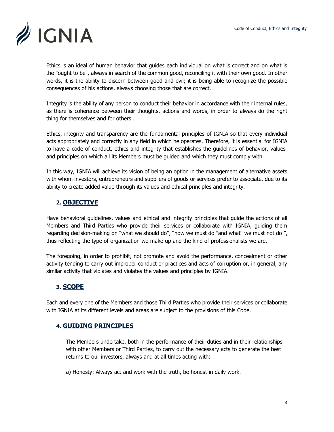

Ethics is an ideal of human behavior that guides each individual on what is correct and on what is the "ought to be", always in search of the common good, reconciling it with their own good. In other words, it is the ability to discern between good and evil; it is being able to recognize the possible consequences of his actions, always choosing those that are correct.

Integrity is the ability of any person to conduct their behavior in accordance with their internal rules, as there is coherence between their thoughts, actions and words, in order to always do the right thing for themselves and for others .

Ethics, integrity and transparency are the fundamental principles of IGNIA so that every individual acts appropriately and correctly in any field in which he operates. Therefore, it is essential for IGNIA to have a code of conduct, ethics and integrity that establishes the guidelines of behavior, values and principles on which all its Members must be guided and which they must comply with.

In this way, IGNIA will achieve its vision of being an option in the management of alternative assets with whom investors, entrepreneurs and suppliers of goods or services prefer to associate, due to its ability to create added value through its values and ethical principles and integrity.

## <span id="page-4-0"></span>**2. OBJECTIVE**

Have behavioral guidelines, values and ethical and integrity principles that guide the actions of all Members and Third Parties who provide their services or collaborate with IGNIA, guiding them regarding decision-making on "what we should do", "how we must do "and what" we must not do ", thus reflecting the type of organization we make up and the kind of professionalists we are.

The foregoing, in order to prohibit, not promote and avoid the performance, concealment or other activity tending to carry out improper conduct or practices and acts of corruption or, in general, any similar activity that violates and violates the values and principles by IGNIA.

## **3. SCOPE**

Each and every one of the Members and those Third Parties who provide their services or collaborate with IGNIA at its different levels and areas are subject to the provisions of this Code.

## **4. GUIDING PRINCIPLES**

The Members undertake, both in the performance of their duties and in their relationships with other Members or Third Parties, to carry out the necessary acts to generate the best returns to our investors, always and at all times acting with:

a) Honesty: Always act and work with the truth, be honest in daily work.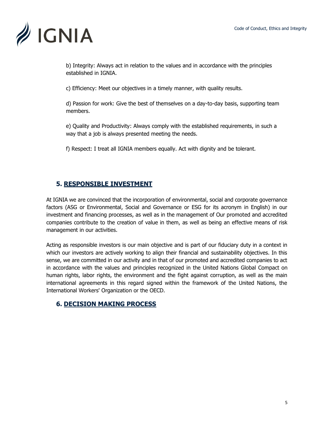

b) Integrity: Always act in relation to the values and in accordance with the principles established in IGNIA.

c) Efficiency: Meet our objectives in a timely manner, with quality results.

d) Passion for work: Give the best of themselves on a day-to-day basis, supporting team members.

e) Quality and Productivity: Always comply with the established requirements, in such a way that a job is always presented meeting the needs.

f) Respect: I treat all IGNIA members equally. Act with dignity and be tolerant.

## <span id="page-5-0"></span>**5. RESPONSIBLE INVESTMENT**

At IGNIA we are convinced that the incorporation of environmental, social and corporate governance factors (ASG or Environmental, Social and Governance or ESG for its acronym in English) in our investment and financing processes, as well as in the management of Our promoted and accredited companies contribute to the creation of value in them, as well as being an effective means of risk management in our activities.

Acting as responsible investors is our main objective and is part of our fiduciary duty in a context in which our investors are actively working to align their financial and sustainability objectives. In this sense, we are committed in our activity and in that of our promoted and accredited companies to act in accordance with the values and principles recognized in the United Nations Global Compact on human rights, labor rights, the environment and the fight against corruption, as well as the main international agreements in this regard signed within the framework of the United Nations, the International Workers' Organization or the OECD.

## **6. DECISION MAKING PROCESS**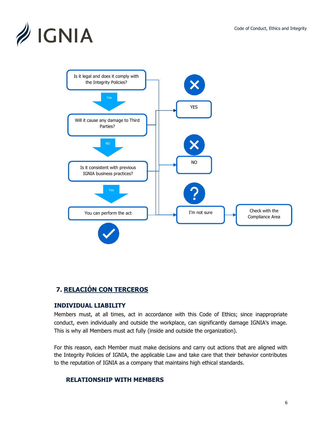



# <span id="page-6-0"></span>**7. RELACIÓN CON TERCEROS**

#### **INDIVIDUAL LIABILITY**

Members must, at all times, act in accordance with this Code of Ethics; since inappropriate conduct, even individually and outside the workplace, can significantly damage IGNIA's image. This is why all Members must act fully (inside and outside the organization).

<span id="page-6-1"></span>For this reason, each Member must make decisions and carry out actions that are aligned with the Integrity Policies of IGNIA, the applicable Law and take care that their behavior contributes to the reputation of IGNIA as a company that maintains high ethical standards.

#### **RELATIONSHIP WITH MEMBERS**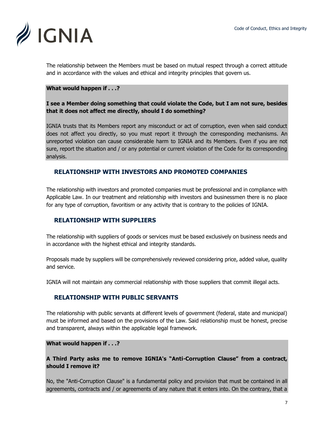

The relationship between the Members must be based on mutual respect through a correct attitude and in accordance with the values and ethical and integrity principles that govern us.

#### **What would happen if . . .?**

#### **I see a Member doing something that could violate the Code, but I am not sure, besides that it does not affect me directly, should I do something?**

IGNIA trusts that its Members report any misconduct or act of corruption, even when said conduct does not affect you directly, so you must report it through the corresponding mechanisms. An unreported violation can cause considerable harm to IGNIA and its Members. Even if you are not sure, report the situation and / or any potential or current violation of the Code for its corresponding analysis.

#### **RELATIONSHIP WITH INVESTORS AND PROMOTED COMPANIES**

The relationship with investors and promoted companies must be professional and in compliance with Applicable Law. In our treatment and relationship with investors and businessmen there is no place for any type of corruption, favoritism or any activity that is contrary to the policies of IGNIA.

#### **RELATIONSHIP WITH SUPPLIERS**

The relationship with suppliers of goods or services must be based exclusively on business needs and in accordance with the highest ethical and integrity standards.

Proposals made by suppliers will be comprehensively reviewed considering price, added value, quality and service.

IGNIA will not maintain any commercial relationship with those suppliers that commit illegal acts.

#### **RELATIONSHIP WITH PUBLIC SERVANTS**

The relationship with public servants at different levels of government (federal, state and municipal) must be informed and based on the provisions of the Law. Said relationship must be honest, precise and transparent, always within the applicable legal framework.

#### **What would happen if . . .?**

#### **A Third Party asks me to remove IGNIA's "Anti-Corruption Clause" from a contract, should I remove it?**

No, the "Anti-Corruption Clause" is a fundamental policy and provision that must be contained in all agreements, contracts and / or agreements of any nature that it enters into. On the contrary, that a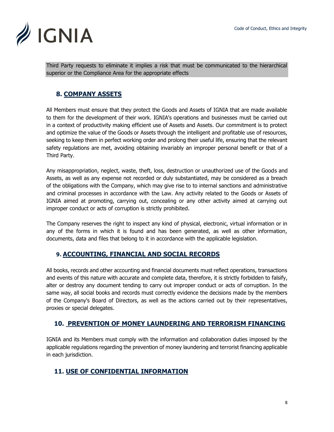

Third Party requests to eliminate it implies a risk that must be communicated to the hierarchical superior or the Compliance Area for the appropriate effects

# **8. COMPANY ASSETS**

All Members must ensure that they protect the Goods and Assets of IGNIA that are made available to them for the development of their work. IGNIA's operations and businesses must be carried out in a context of productivity making efficient use of Assets and Assets. Our commitment is to protect and optimize the value of the Goods or Assets through the intelligent and profitable use of resources, seeking to keep them in perfect working order and prolong their useful life, ensuring that the relevant safety regulations are met, avoiding obtaining invariably an improper personal benefit or that of a Third Party.

Any misappropriation, neglect, waste, theft, loss, destruction or unauthorized use of the Goods and Assets, as well as any expense not recorded or duly substantiated, may be considered as a breach of the obligations with the Company, which may give rise to to internal sanctions and administrative and criminal processes in accordance with the Law. Any activity related to the Goods or Assets of IGNIA aimed at promoting, carrying out, concealing or any other activity aimed at carrying out improper conduct or acts of corruption is strictly prohibited.

The Company reserves the right to inspect any kind of physical, electronic, virtual information or in any of the forms in which it is found and has been generated, as well as other information, documents, data and files that belong to it in accordance with the applicable legislation.

# **9. ACCOUNTING, FINANCIAL AND SOCIAL RECORDS**

All books, records and other accounting and financial documents must reflect operations, transactions and events of this nature with accurate and complete data, therefore, it is strictly forbidden to falsify, alter or destroy any document tending to carry out improper conduct or acts of corruption. In the same way, all social books and records must correctly evidence the decisions made by the members of the Company's Board of Directors, as well as the actions carried out by their representatives, proxies or special delegates.

## **10. PREVENTION OF MONEY LAUNDERING AND TERRORISM FINANCING**

IGNIA and its Members must comply with the information and collaboration duties imposed by the applicable regulations regarding the prevention of money laundering and terrorist financing applicable in each jurisdiction.

# **11. USE OF CONFIDENTIAL INFORMATION**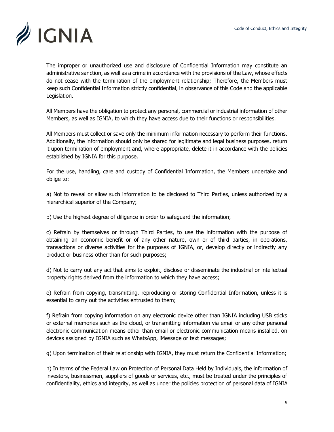

The improper or unauthorized use and disclosure of Confidential Information may constitute an administrative sanction, as well as a crime in accordance with the provisions of the Law, whose effects do not cease with the termination of the employment relationship; Therefore, the Members must keep such Confidential Information strictly confidential, in observance of this Code and the applicable Legislation.

All Members have the obligation to protect any personal, commercial or industrial information of other Members, as well as IGNIA, to which they have access due to their functions or responsibilities.

All Members must collect or save only the minimum information necessary to perform their functions. Additionally, the information should only be shared for legitimate and legal business purposes, return it upon termination of employment and, where appropriate, delete it in accordance with the policies established by IGNIA for this purpose.

For the use, handling, care and custody of Confidential Information, the Members undertake and oblige to:

a) Not to reveal or allow such information to be disclosed to Third Parties, unless authorized by a hierarchical superior of the Company;

b) Use the highest degree of diligence in order to safeguard the information;

c) Refrain by themselves or through Third Parties, to use the information with the purpose of obtaining an economic benefit or of any other nature, own or of third parties, in operations, transactions or diverse activities for the purposes of IGNIA, or, develop directly or indirectly any product or business other than for such purposes;

d) Not to carry out any act that aims to exploit, disclose or disseminate the industrial or intellectual property rights derived from the information to which they have access;

e) Refrain from copying, transmitting, reproducing or storing Confidential Information, unless it is essential to carry out the activities entrusted to them;

f) Refrain from copying information on any electronic device other than IGNIA including USB sticks or external memories such as the cloud, or transmitting information via email or any other personal electronic communication means other than email or electronic communication means installed. on devices assigned by IGNIA such as WhatsApp, iMessage or text messages;

g) Upon termination of their relationship with IGNIA, they must return the Confidential Information;

h) In terms of the Federal Law on Protection of Personal Data Held by Individuals, the information of investors, businessmen, suppliers of goods or services, etc., must be treated under the principles of confidentiality, ethics and integrity, as well as under the policies protection of personal data of IGNIA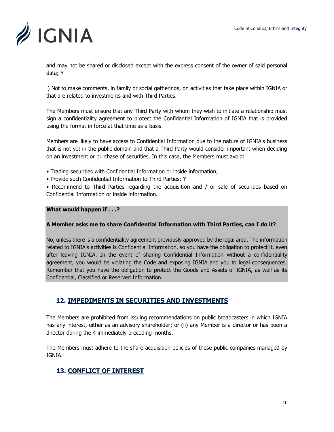

and may not be shared or disclosed except with the express consent of the owner of said personal data; Y

i) Not to make comments, in family or social gatherings, on activities that take place within IGNIA or that are related to investments and with Third Parties.

The Members must ensure that any Third Party with whom they wish to initiate a relationship must sign a confidentiality agreement to protect the Confidential Information of IGNIA that is provided using the format in force at that time as a basis.

Members are likely to have access to Confidential Information due to the nature of IGNIA's business that is not yet in the public domain and that a Third Party would consider important when deciding on an investment or purchase of securities. In this case, the Members must avoid:

- Trading securities with Confidential Information or inside information;
- Provide such Confidential Information to Third Parties; Y

• Recommend to Third Parties regarding the acquisition and / or sale of securities based on Confidential Information or inside information.

#### **What would happen if . . .?**

#### **A Member asks me to share Confidential Information with Third Parties, can I do it?**

No, unless there is a confidentiality agreement previously approved by the legal area. The information related to IGNIA's activities is Confidential Information, so you have the obligation to protect it, even after leaving IGNIA. In the event of sharing Confidential Information without a confidentiality agreement, you would be violating the Code and exposing IGNIA and you to legal consequences. Remember that you have the obligation to protect the Goods and Assets of IGNIA, as well as its Confidential, Classified or Reserved Information.

## **12. IMPEDIMENTS IN SECURITIES AND INVESTMENTS**

The Members are prohibited from issuing recommendations on public broadcasters in which IGNIA has any interest, either as an advisory shareholder; or (ii) any Member is a director or has been a director during the 4 immediately preceding months.

The Members must adhere to the share acquisition policies of those public companies managed by IGNIA.

## **13. CONFLICT OF INTEREST**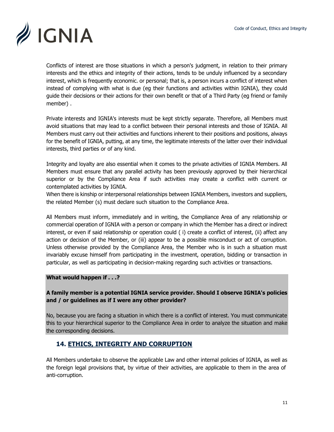

Conflicts of interest are those situations in which a person's judgment, in relation to their primary interests and the ethics and integrity of their actions, tends to be unduly influenced by a secondary interest, which is frequently economic. or personal; that is, a person incurs a conflict of interest when instead of complying with what is due (eg their functions and activities within IGNIA), they could guide their decisions or their actions for their own benefit or that of a Third Party (eg friend or family member) .

Private interests and IGNIA's interests must be kept strictly separate. Therefore, all Members must avoid situations that may lead to a conflict between their personal interests and those of IGNIA. All Members must carry out their activities and functions inherent to their positions and positions, always for the benefit of IGNIA, putting, at any time, the legitimate interests of the latter over their individual interests, third parties or of any kind.

Integrity and loyalty are also essential when it comes to the private activities of IGNIA Members. All Members must ensure that any parallel activity has been previously approved by their hierarchical superior or by the Compliance Area if such activities may create a conflict with current or contemplated activities by IGNIA.

When there is kinship or interpersonal relationships between IGNIA Members, investors and suppliers, the related Member (s) must declare such situation to the Compliance Area.

All Members must inform, immediately and in writing, the Compliance Area of any relationship or commercial operation of IGNIA with a person or company in which the Member has a direct or indirect interest, or even if said relationship or operation could ( i) create a conflict of interest, (ii) affect any action or decision of the Member, or (iii) appear to be a possible misconduct or act of corruption. Unless otherwise provided by the Compliance Area, the Member who is in such a situation must invariably excuse himself from participating in the investment, operation, bidding or transaction in particular, as well as participating in decision-making regarding such activities or transactions.

#### **What would happen if . . .?**

#### **A family member is a potential IGNIA service provider. Should I observe IGNIA's policies and / or guidelines as if I were any other provider?**

No, because you are facing a situation in which there is a conflict of interest. You must communicate this to your hierarchical superior to the Compliance Area in order to analyze the situation and make the corresponding decisions.

## **14. ETHICS, INTEGRITY AND CORRUPTION**

All Members undertake to observe the applicable Law and other internal policies of IGNIA, as well as the foreign legal provisions that, by virtue of their activities, are applicable to them in the area of anti-corruption.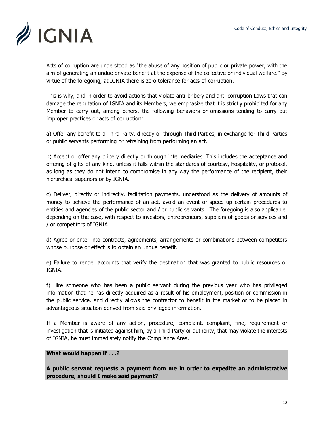

Acts of corruption are understood as "the abuse of any position of public or private power, with the aim of generating an undue private benefit at the expense of the collective or individual welfare." By virtue of the foregoing, at IGNIA there is zero tolerance for acts of corruption.

This is why, and in order to avoid actions that violate anti-bribery and anti-corruption Laws that can damage the reputation of IGNIA and its Members, we emphasize that it is strictly prohibited for any Member to carry out, among others, the following behaviors or omissions tending to carry out improper practices or acts of corruption:

a) Offer any benefit to a Third Party, directly or through Third Parties, in exchange for Third Parties or public servants performing or refraining from performing an act.

b) Accept or offer any bribery directly or through intermediaries. This includes the acceptance and offering of gifts of any kind, unless it falls within the standards of courtesy, hospitality, or protocol, as long as they do not intend to compromise in any way the performance of the recipient, their hierarchical superiors or by IGNIA.

c) Deliver, directly or indirectly, facilitation payments, understood as the delivery of amounts of money to achieve the performance of an act, avoid an event or speed up certain procedures to entities and agencies of the public sector and / or public servants . The foregoing is also applicable, depending on the case, with respect to investors, entrepreneurs, suppliers of goods or services and / or competitors of IGNIA.

d) Agree or enter into contracts, agreements, arrangements or combinations between competitors whose purpose or effect is to obtain an undue benefit.

e) Failure to render accounts that verify the destination that was granted to public resources or IGNIA.

f) Hire someone who has been a public servant during the previous year who has privileged information that he has directly acquired as a result of his employment, position or commission in the public service, and directly allows the contractor to benefit in the market or to be placed in advantageous situation derived from said privileged information.

If a Member is aware of any action, procedure, complaint, complaint, fine, requirement or investigation that is initiated against him, by a Third Party or authority, that may violate the interests of IGNIA, he must immediately notify the Compliance Area.

#### **What would happen if . . .?**

**A public servant requests a payment from me in order to expedite an administrative procedure, should I make said payment?**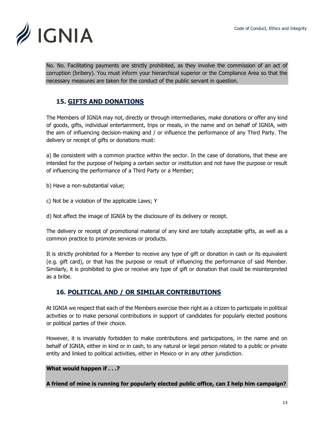

No. No. Facilitating payments are strictly prohibited, as they involve the commission of an act of corruption (bribery). You must inform your hierarchical superior or the Compliance Area so that the necessary measures are taken for the conduct of the public servant in question.

# **15. GIFTS AND DONATIONS**

The Members of IGNIA may not, directly or through intermediaries, make donations or offer any kind of goods, gifts, individual entertainment, trips or meals, in the name and on behalf of IGNIA, with the aim of influencing decision-making and / or influence the performance of any Third Party. The delivery or receipt of gifts or donations must:

a) Be consistent with a common practice within the sector. In the case of donations, that these are intended for the purpose of helping a certain sector or institution and not have the purpose or result of influencing the performance of a Third Party or a Member;

b) Have a non-substantial value;

c) Not be a violation of the applicable Laws; Y

d) Not affect the image of IGNIA by the disclosure of its delivery or receipt.

The delivery or receipt of promotional material of any kind are totally acceptable gifts, as well as a common practice to promote services or products.

It is strictly prohibited for a Member to receive any type of gift or donation in cash or its equivalent (e.g. gift card), or that has the purpose or result of influencing the performance of said Member. Similarly, it is prohibited to give or receive any type of gift or donation that could be misinterpreted as a bribe.

## **16. POLITICAL AND / OR SIMILAR CONTRIBUTIONS**

At IGNIA we respect that each of the Members exercise their right as a citizen to participate in political activities or to make personal contributions in support of candidates for popularly elected positions or political parties of their choice.

However, it is invariably forbidden to make contributions and participations, in the name and on behalf of IGNIA, either in kind or in cash, to any natural or legal person related to a public or private entity and linked to political activities, either in Mexico or in any other jurisdiction.

**What would happen if . . .?**

**A friend of mine is running for popularly elected public office, can I help him campaign?**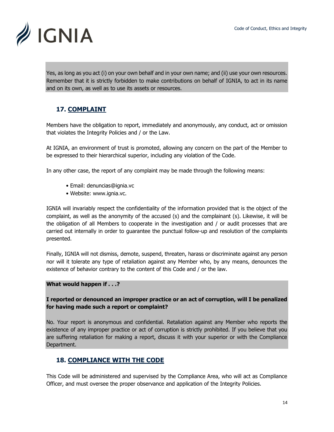

Yes, as long as you act (i) on your own behalf and in your own name; and (ii) use your own resources. Remember that it is strictly forbidden to make contributions on behalf of IGNIA, to act in its name and on its own, as well as to use its assets or resources.

# **17. COMPLAINT**

Members have the obligation to report, immediately and anonymously, any conduct, act or omission that violates the Integrity Policies and / or the Law.

At IGNIA, an environment of trust is promoted, allowing any concern on the part of the Member to be expressed to their hierarchical superior, including any violation of the Code.

In any other case, the report of any complaint may be made through the following means:

- Email: denuncias@ignia.vc
- Website: www.ignia.vc.

IGNIA will invariably respect the confidentiality of the information provided that is the object of the complaint, as well as the anonymity of the accused (s) and the complainant (s). Likewise, it will be the obligation of all Members to cooperate in the investigation and / or audit processes that are carried out internally in order to guarantee the punctual follow-up and resolution of the complaints presented.

Finally, IGNIA will not dismiss, demote, suspend, threaten, harass or discriminate against any person nor will it tolerate any type of retaliation against any Member who, by any means, denounces the existence of behavior contrary to the content of this Code and / or the law.

#### **What would happen if . . .?**

#### **I reported or denounced an improper practice or an act of corruption, will I be penalized for having made such a report or complaint?**

No. Your report is anonymous and confidential. Retaliation against any Member who reports the existence of any improper practice or act of corruption is strictly prohibited. If you believe that you are suffering retaliation for making a report, discuss it with your superior or with the Compliance Department.

## **18. COMPLIANCE WITH THE CODE**

This Code will be administered and supervised by the Compliance Area, who will act as Compliance Officer, and must oversee the proper observance and application of the Integrity Policies.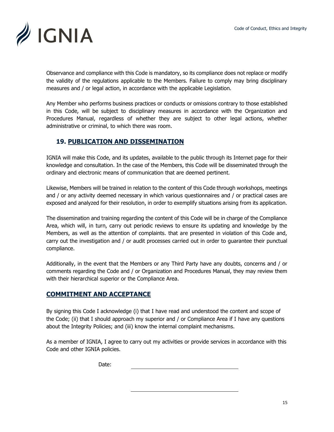

Observance and compliance with this Code is mandatory, so its compliance does not replace or modify the validity of the regulations applicable to the Members. Failure to comply may bring disciplinary measures and / or legal action, in accordance with the applicable Legislation.

Any Member who performs business practices or conducts or omissions contrary to those established in this Code, will be subject to disciplinary measures in accordance with the Organization and Procedures Manual, regardless of whether they are subject to other legal actions, whether administrative or criminal, to which there was room.

## **19. PUBLICATION AND DISSEMINATION**

IGNIA will make this Code, and its updates, available to the public through its Internet page for their knowledge and consultation. In the case of the Members, this Code will be disseminated through the ordinary and electronic means of communication that are deemed pertinent.

Likewise, Members will be trained in relation to the content of this Code through workshops, meetings and / or any activity deemed necessary in which various questionnaires and / or practical cases are exposed and analyzed for their resolution, in order to exemplify situations arising from its application.

The dissemination and training regarding the content of this Code will be in charge of the Compliance Area, which will, in turn, carry out periodic reviews to ensure its updating and knowledge by the Members, as well as the attention of complaints. that are presented in violation of this Code and, carry out the investigation and / or audit processes carried out in order to guarantee their punctual compliance.

Additionally, in the event that the Members or any Third Party have any doubts, concerns and / or comments regarding the Code and / or Organization and Procedures Manual, they may review them with their hierarchical superior or the Compliance Area.

## **COMMITMENT AND ACCEPTANCE**

By signing this Code I acknowledge (i) that I have read and understood the content and scope of the Code; (ii) that I should approach my superior and / or Compliance Area if I have any questions about the Integrity Policies; and (iii) know the internal complaint mechanisms.

As a member of IGNIA, I agree to carry out my activities or provide services in accordance with this Code and other IGNIA policies.

Date: